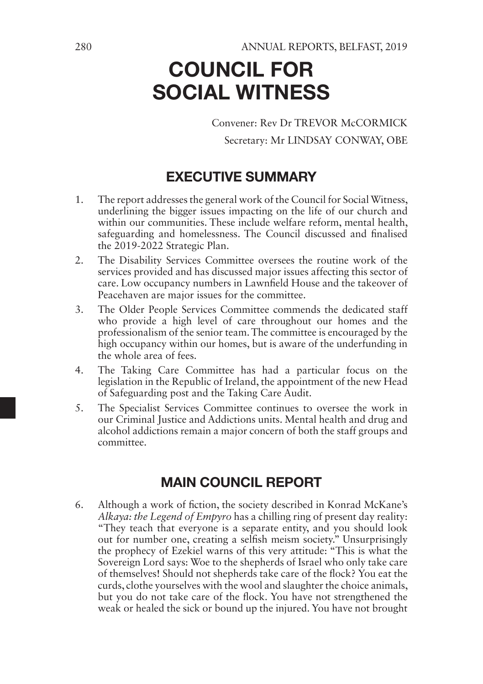Convener: Rev Dr TREVOR McCORMICK Secretary: Mr LINDSAY CONWAY, OBE

# EXECUTIVE SUMMARY

- 1. The report addresses the general work of the Council for Social Witness, underlining the bigger issues impacting on the life of our church and within our communities. These include welfare reform, mental health, safeguarding and homelessness. The Council discussed and finalised the 2019-2022 Strategic Plan.
- 2. The Disability Services Committee oversees the routine work of the services provided and has discussed major issues affecting this sector of care. Low occupancy numbers in Lawnfield House and the takeover of Peacehaven are major issues for the committee.
- 3. The Older People Services Committee commends the dedicated staff who provide a high level of care throughout our homes and the professionalism of the senior team. The committee is encouraged by the high occupancy within our homes, but is aware of the underfunding in the whole area of fees.
- 4. The Taking Care Committee has had a particular focus on the legislation in the Republic of Ireland, the appointment of the new Head of Safeguarding post and the Taking Care Audit.
- 5. The Specialist Services Committee continues to oversee the work in our Criminal Justice and Addictions units. Mental health and drug and alcohol addictions remain a major concern of both the staff groups and committee.

# MAIN COUNCIL REPORT

6. Although a work of fiction, the society described in Konrad McKane's *Alkaya: the Legend of Empyro* has a chilling ring of present day reality: "They teach that everyone is a separate entity, and you should look out for number one, creating a selfish meism society." Unsurprisingly the prophecy of Ezekiel warns of this very attitude: "This is what the Sovereign Lord says: Woe to the shepherds of Israel who only take care of themselves! Should not shepherds take care of the flock? You eat the curds, clothe yourselves with the wool and slaughter the choice animals, but you do not take care of the flock. You have not strengthened the weak or healed the sick or bound up the injured. You have not brought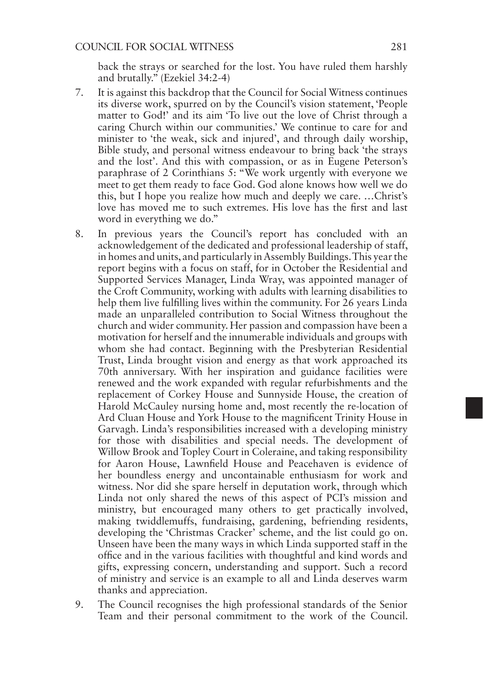back the strays or searched for the lost. You have ruled them harshly and brutally." (Ezekiel 34:2-4)

- 7. It is against this backdrop that the Council for Social Witness continues its diverse work, spurred on by the Council's vision statement, 'People matter to God!' and its aim 'To live out the love of Christ through a caring Church within our communities.' We continue to care for and minister to 'the weak, sick and injured', and through daily worship, Bible study, and personal witness endeavour to bring back 'the strays and the lost'. And this with compassion, or as in Eugene Peterson's paraphrase of 2 Corinthians 5: "We work urgently with everyone we meet to get them ready to face God. God alone knows how well we do this, but I hope you realize how much and deeply we care. …Christ's love has moved me to such extremes. His love has the first and last word in everything we do."
- 8. In previous years the Council's report has concluded with an acknowledgement of the dedicated and professional leadership of staff, in homes and units, and particularly in Assembly Buildings. This year the report begins with a focus on staff, for in October the Residential and Supported Services Manager, Linda Wray, was appointed manager of the Croft Community, working with adults with learning disabilities to help them live fulfilling lives within the community. For 26 years Linda made an unparalleled contribution to Social Witness throughout the church and wider community. Her passion and compassion have been a motivation for herself and the innumerable individuals and groups with whom she had contact. Beginning with the Presbyterian Residential Trust, Linda brought vision and energy as that work approached its 70th anniversary. With her inspiration and guidance facilities were renewed and the work expanded with regular refurbishments and the replacement of Corkey House and Sunnyside House, the creation of Harold McCauley nursing home and, most recently the re-location of Ard Cluan House and York House to the magnificent Trinity House in Garvagh. Linda's responsibilities increased with a developing ministry for those with disabilities and special needs. The development of Willow Brook and Topley Court in Coleraine, and taking responsibility for Aaron House, Lawnfield House and Peacehaven is evidence of her boundless energy and uncontainable enthusiasm for work and witness. Nor did she spare herself in deputation work, through which Linda not only shared the news of this aspect of PCI's mission and ministry, but encouraged many others to get practically involved, making twiddlemuffs, fundraising, gardening, befriending residents, developing the 'Christmas Cracker' scheme, and the list could go on. Unseen have been the many ways in which Linda supported staff in the office and in the various facilities with thoughtful and kind words and gifts, expressing concern, understanding and support. Such a record of ministry and service is an example to all and Linda deserves warm thanks and appreciation.
- 9. The Council recognises the high professional standards of the Senior Team and their personal commitment to the work of the Council.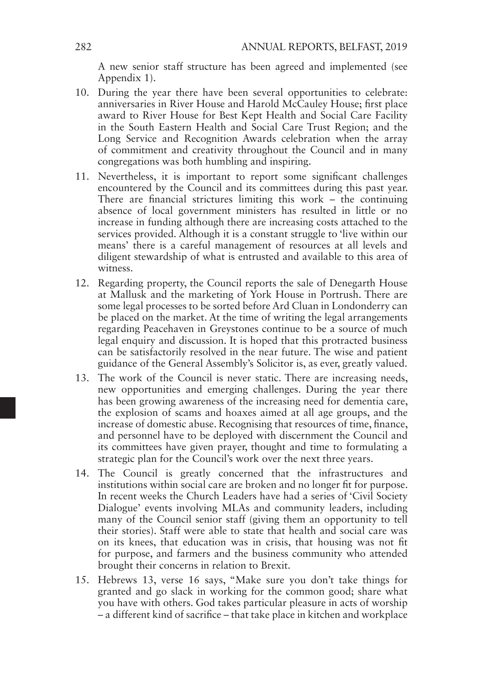A new senior staff structure has been agreed and implemented (see Appendix 1).

- 10. During the year there have been several opportunities to celebrate: anniversaries in River House and Harold McCauley House; first place award to River House for Best Kept Health and Social Care Facility in the South Eastern Health and Social Care Trust Region; and the Long Service and Recognition Awards celebration when the array of commitment and creativity throughout the Council and in many congregations was both humbling and inspiring.
- 11. Nevertheless, it is important to report some significant challenges encountered by the Council and its committees during this past year. There are financial strictures limiting this work – the continuing absence of local government ministers has resulted in little or no increase in funding although there are increasing costs attached to the services provided. Although it is a constant struggle to 'live within our means' there is a careful management of resources at all levels and diligent stewardship of what is entrusted and available to this area of witness.
- 12. Regarding property, the Council reports the sale of Denegarth House at Mallusk and the marketing of York House in Portrush. There are some legal processes to be sorted before Ard Cluan in Londonderry can be placed on the market. At the time of writing the legal arrangements regarding Peacehaven in Greystones continue to be a source of much legal enquiry and discussion. It is hoped that this protracted business can be satisfactorily resolved in the near future. The wise and patient guidance of the General Assembly's Solicitor is, as ever, greatly valued.
- 13. The work of the Council is never static. There are increasing needs, new opportunities and emerging challenges. During the year there has been growing awareness of the increasing need for dementia care, the explosion of scams and hoaxes aimed at all age groups, and the increase of domestic abuse. Recognising that resources of time, finance, and personnel have to be deployed with discernment the Council and its committees have given prayer, thought and time to formulating a strategic plan for the Council's work over the next three years.
- 14. The Council is greatly concerned that the infrastructures and institutions within social care are broken and no longer fit for purpose. In recent weeks the Church Leaders have had a series of 'Civil Society Dialogue' events involving MLAs and community leaders, including many of the Council senior staff (giving them an opportunity to tell their stories). Staff were able to state that health and social care was on its knees, that education was in crisis, that housing was not fit for purpose, and farmers and the business community who attended brought their concerns in relation to Brexit.
- 15. Hebrews 13, verse 16 says, "Make sure you don't take things for granted and go slack in working for the common good; share what you have with others. God takes particular pleasure in acts of worship – a different kind of sacrifice – that take place in kitchen and workplace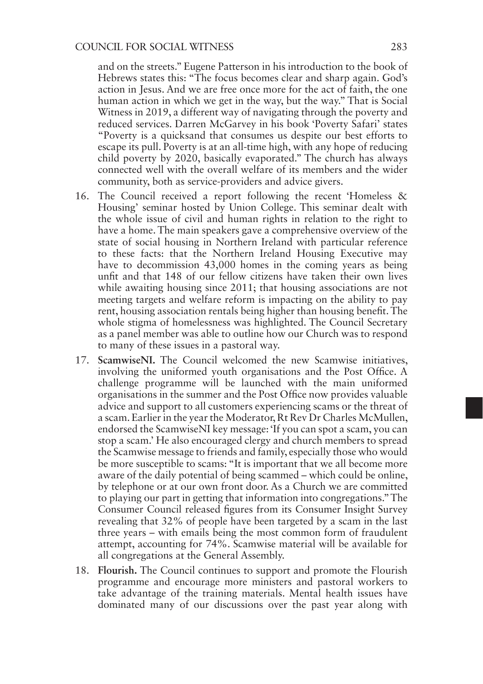and on the streets." Eugene Patterson in his introduction to the book of Hebrews states this: "The focus becomes clear and sharp again. God's action in Jesus. And we are free once more for the act of faith, the one human action in which we get in the way, but the way." That is Social Witness in 2019, a different way of navigating through the poverty and reduced services. Darren McGarvey in his book 'Poverty Safari' states "Poverty is a quicksand that consumes us despite our best efforts to escape its pull. Poverty is at an all-time high, with any hope of reducing child poverty by 2020, basically evaporated." The church has always connected well with the overall welfare of its members and the wider community, both as service-providers and advice givers.

- 16. The Council received a report following the recent 'Homeless & Housing' seminar hosted by Union College. This seminar dealt with the whole issue of civil and human rights in relation to the right to have a home. The main speakers gave a comprehensive overview of the state of social housing in Northern Ireland with particular reference to these facts: that the Northern Ireland Housing Executive may have to decommission 43,000 homes in the coming years as being unfit and that 148 of our fellow citizens have taken their own lives while awaiting housing since 2011; that housing associations are not meeting targets and welfare reform is impacting on the ability to pay rent, housing association rentals being higher than housing benefit. The whole stigma of homelessness was highlighted. The Council Secretary as a panel member was able to outline how our Church was to respond to many of these issues in a pastoral way.
- 17. **ScamwiseNI.** The Council welcomed the new Scamwise initiatives, involving the uniformed youth organisations and the Post Office. A challenge programme will be launched with the main uniformed organisations in the summer and the Post Office now provides valuable advice and support to all customers experiencing scams or the threat of a scam. Earlier in the year the Moderator, Rt Rev Dr Charles McMullen, endorsed the ScamwiseNI key message: 'If you can spot a scam, you can stop a scam.' He also encouraged clergy and church members to spread the Scamwise message to friends and family, especially those who would be more susceptible to scams: "It is important that we all become more aware of the daily potential of being scammed – which could be online, by telephone or at our own front door. As a Church we are committed to playing our part in getting that information into congregations." The Consumer Council released figures from its Consumer Insight Survey revealing that 32% of people have been targeted by a scam in the last three years – with emails being the most common form of fraudulent attempt, accounting for 74%. Scamwise material will be available for all congregations at the General Assembly.
- 18. **Flourish.** The Council continues to support and promote the Flourish programme and encourage more ministers and pastoral workers to take advantage of the training materials. Mental health issues have dominated many of our discussions over the past year along with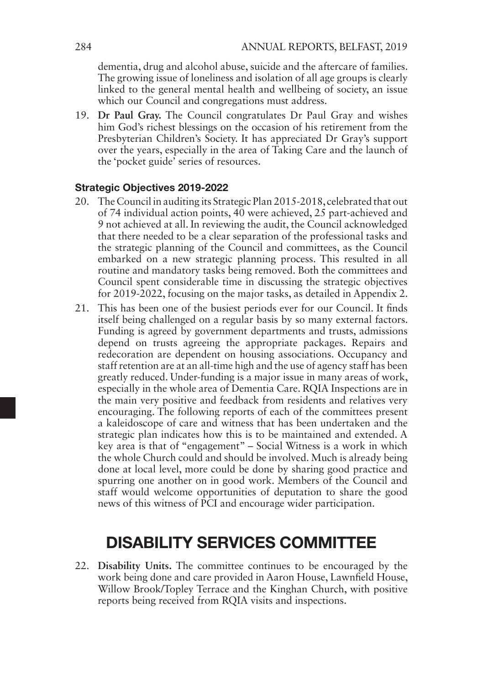dementia, drug and alcohol abuse, suicide and the aftercare of families. The growing issue of loneliness and isolation of all age groups is clearly linked to the general mental health and wellbeing of society, an issue which our Council and congregations must address.

19. **Dr Paul Gray.** The Council congratulates Dr Paul Gray and wishes him God's richest blessings on the occasion of his retirement from the Presbyterian Children's Society. It has appreciated Dr Gray's support over the years, especially in the area of Taking Care and the launch of the 'pocket guide' series of resources.

#### Strategic Objectives 2019-2022

- 20. The Council in auditing its Strategic Plan 2015-2018, celebrated that out of 74 individual action points, 40 were achieved, 25 part-achieved and 9 not achieved at all. In reviewing the audit, the Council acknowledged that there needed to be a clear separation of the professional tasks and the strategic planning of the Council and committees, as the Council embarked on a new strategic planning process. This resulted in all routine and mandatory tasks being removed. Both the committees and Council spent considerable time in discussing the strategic objectives for 2019-2022, focusing on the major tasks, as detailed in Appendix 2.
- 21. This has been one of the busiest periods ever for our Council. It finds itself being challenged on a regular basis by so many external factors. Funding is agreed by government departments and trusts, admissions depend on trusts agreeing the appropriate packages. Repairs and redecoration are dependent on housing associations. Occupancy and staff retention are at an all-time high and the use of agency staff has been greatly reduced. Under-funding is a major issue in many areas of work, especially in the whole area of Dementia Care. RQIA Inspections are in the main very positive and feedback from residents and relatives very encouraging. The following reports of each of the committees present a kaleidoscope of care and witness that has been undertaken and the strategic plan indicates how this is to be maintained and extended. A key area is that of "engagement" – Social Witness is a work in which the whole Church could and should be involved. Much is already being done at local level, more could be done by sharing good practice and spurring one another on in good work. Members of the Council and staff would welcome opportunities of deputation to share the good news of this witness of PCI and encourage wider participation.

# DISABILITY SERVICES COMMITTEE

22. **Disability Units.** The committee continues to be encouraged by the work being done and care provided in Aaron House, Lawnfield House, Willow Brook/Topley Terrace and the Kinghan Church, with positive reports being received from RQIA visits and inspections.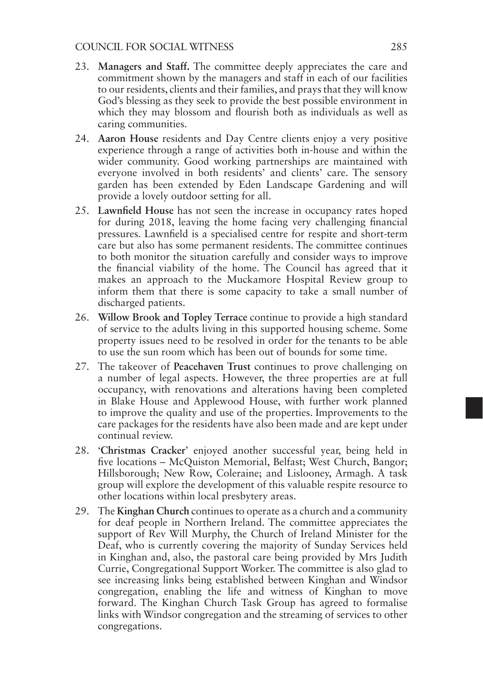- 23. **Managers and Staff.** The committee deeply appreciates the care and commitment shown by the managers and staff in each of our facilities to our residents, clients and their families, and prays that they will know God's blessing as they seek to provide the best possible environment in which they may blossom and flourish both as individuals as well as caring communities.
- 24. **Aaron House** residents and Day Centre clients enjoy a very positive experience through a range of activities both in-house and within the wider community. Good working partnerships are maintained with everyone involved in both residents' and clients' care. The sensory garden has been extended by Eden Landscape Gardening and will provide a lovely outdoor setting for all.
- 25. **Lawnfield House** has not seen the increase in occupancy rates hoped for during 2018, leaving the home facing very challenging financial pressures. Lawnfield is a specialised centre for respite and short-term care but also has some permanent residents. The committee continues to both monitor the situation carefully and consider ways to improve the financial viability of the home. The Council has agreed that it makes an approach to the Muckamore Hospital Review group to inform them that there is some capacity to take a small number of discharged patients.
- 26. **Willow Brook and Topley Terrace** continue to provide a high standard of service to the adults living in this supported housing scheme. Some property issues need to be resolved in order for the tenants to be able to use the sun room which has been out of bounds for some time.
- 27. The takeover of **Peacehaven Trust** continues to prove challenging on a number of legal aspects. However, the three properties are at full occupancy, with renovations and alterations having been completed in Blake House and Applewood House, with further work planned to improve the quality and use of the properties. Improvements to the care packages for the residents have also been made and are kept under continual review.
- 28. '**Christmas Cracker**' enjoyed another successful year, being held in five locations – McQuiston Memorial, Belfast; West Church, Bangor; Hillsborough; New Row, Coleraine; and Lislooney, Armagh. A task group will explore the development of this valuable respite resource to other locations within local presbytery areas.
- 29. The **Kinghan Church** continues to operate as a church and a community for deaf people in Northern Ireland. The committee appreciates the support of Rev Will Murphy, the Church of Ireland Minister for the Deaf, who is currently covering the majority of Sunday Services held in Kinghan and, also, the pastoral care being provided by Mrs Judith Currie, Congregational Support Worker. The committee is also glad to see increasing links being established between Kinghan and Windsor congregation, enabling the life and witness of Kinghan to move forward. The Kinghan Church Task Group has agreed to formalise links with Windsor congregation and the streaming of services to other congregations.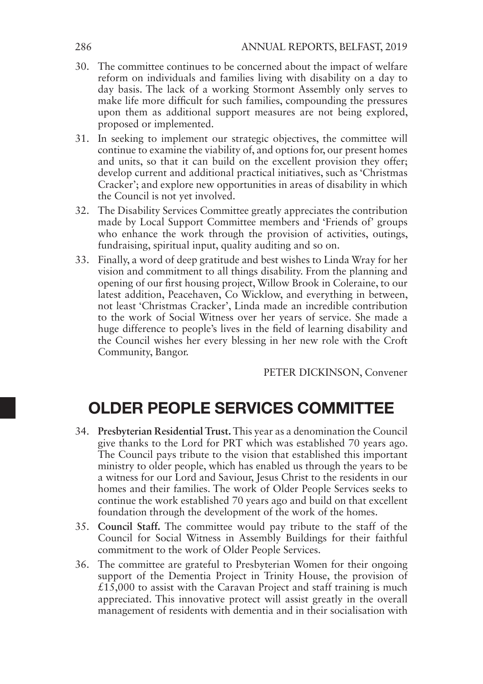- 30. The committee continues to be concerned about the impact of welfare reform on individuals and families living with disability on a day to day basis. The lack of a working Stormont Assembly only serves to make life more difficult for such families, compounding the pressures upon them as additional support measures are not being explored, proposed or implemented.
- 31. In seeking to implement our strategic objectives, the committee will continue to examine the viability of, and options for, our present homes and units, so that it can build on the excellent provision they offer; develop current and additional practical initiatives, such as 'Christmas Cracker'; and explore new opportunities in areas of disability in which the Council is not yet involved.
- 32. The Disability Services Committee greatly appreciates the contribution made by Local Support Committee members and 'Friends of' groups who enhance the work through the provision of activities, outings, fundraising, spiritual input, quality auditing and so on.
- 33. Finally, a word of deep gratitude and best wishes to Linda Wray for her vision and commitment to all things disability. From the planning and opening of our first housing project, Willow Brook in Coleraine, to our latest addition, Peacehaven, Co Wicklow, and everything in between, not least 'Christmas Cracker', Linda made an incredible contribution to the work of Social Witness over her years of service. She made a huge difference to people's lives in the field of learning disability and the Council wishes her every blessing in her new role with the Croft Community, Bangor.

PETER DICKINSON, Convener

# OLDER PEOPLE SERVICES COMMITTEE

- 34. **Presbyterian Residential Trust.** This year as a denomination the Council give thanks to the Lord for PRT which was established 70 years ago. The Council pays tribute to the vision that established this important ministry to older people, which has enabled us through the years to be a witness for our Lord and Saviour, Jesus Christ to the residents in our homes and their families. The work of Older People Services seeks to continue the work established 70 years ago and build on that excellent foundation through the development of the work of the homes.
- 35. **Council Staff.** The committee would pay tribute to the staff of the Council for Social Witness in Assembly Buildings for their faithful commitment to the work of Older People Services.
- 36. The committee are grateful to Presbyterian Women for their ongoing support of the Dementia Project in Trinity House, the provision of  $£15,000$  to assist with the Caravan Project and staff training is much appreciated. This innovative protect will assist greatly in the overall management of residents with dementia and in their socialisation with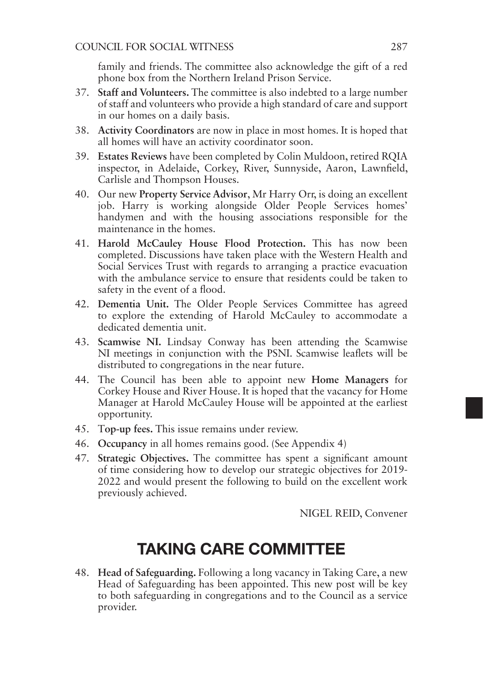family and friends. The committee also acknowledge the gift of a red phone box from the Northern Ireland Prison Service.

- 37. **Staff and Volunteers.** The committee is also indebted to a large number of staff and volunteers who provide a high standard of care and support in our homes on a daily basis.
- 38. **Activity Coordinators** are now in place in most homes. It is hoped that all homes will have an activity coordinator soon.
- 39. **Estates Reviews** have been completed by Colin Muldoon, retired RQIA inspector, in Adelaide, Corkey, River, Sunnyside, Aaron, Lawnfield, Carlisle and Thompson Houses.
- 40. Our new **Property Service Advisor**, Mr Harry Orr, is doing an excellent job. Harry is working alongside Older People Services homes' handymen and with the housing associations responsible for the maintenance in the homes.
- 41. **Harold McCauley House Flood Protection.** This has now been completed. Discussions have taken place with the Western Health and Social Services Trust with regards to arranging a practice evacuation with the ambulance service to ensure that residents could be taken to safety in the event of a flood.
- 42. **Dementia Unit.** The Older People Services Committee has agreed to explore the extending of Harold McCauley to accommodate a dedicated dementia unit.
- 43. **Scamwise NI.** Lindsay Conway has been attending the Scamwise NI meetings in conjunction with the PSNI. Scamwise leaflets will be distributed to congregations in the near future.
- 44. The Council has been able to appoint new **Home Managers** for Corkey House and River House. It is hoped that the vacancy for Home Manager at Harold McCauley House will be appointed at the earliest opportunity.
- 45. T**op-up fees.** This issue remains under review.
- 46. **Occupancy** in all homes remains good. (See Appendix 4)
- 47. **Strategic Objectives.** The committee has spent a significant amount of time considering how to develop our strategic objectives for 2019- 2022 and would present the following to build on the excellent work previously achieved.

NIGEL REID, Convener

# TAKING CARE COMMITTEE

48. **Head of Safeguarding.** Following a long vacancy in Taking Care, a new Head of Safeguarding has been appointed. This new post will be key to both safeguarding in congregations and to the Council as a service provider.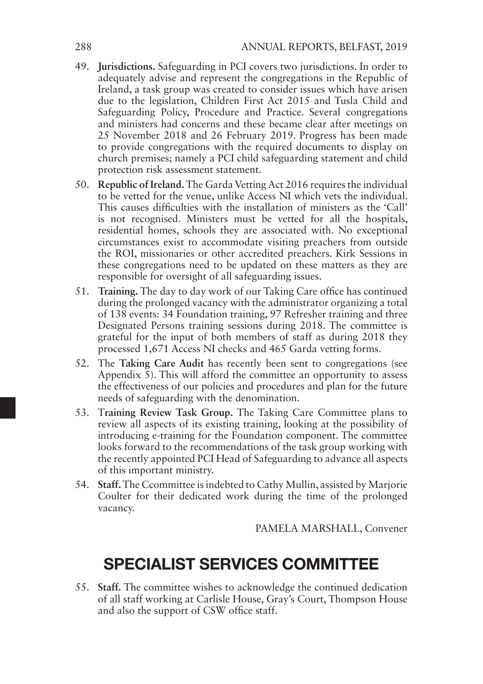- 49. **Jurisdictions.** Safeguarding in PCI covers two jurisdictions. In order to adequately advise and represent the congregations in the Republic of Ireland, a task group was created to consider issues which have arisen due to the legislation, Children First Act 2015 and Tusla Child and Safeguarding Policy, Procedure and Practice. Several congregations and ministers had concerns and these became clear after meetings on 25 November 2018 and 26 February 2019. Progress has been made to provide congregations with the required documents to display on church premises; namely a PCI child safeguarding statement and child protection risk assessment statement.
- 50. **Republic of Ireland.** The Garda Vetting Act 2016 requires the individual to be vetted for the venue, unlike Access NI which vets the individual. This causes difficulties with the installation of ministers as the 'Call' is not recognised. Ministers must be vetted for all the hospitals, residential homes, schools they are associated with. No exceptional circumstances exist to accommodate visiting preachers from outside the ROI, missionaries or other accredited preachers. Kirk Sessions in these congregations need to be updated on these matters as they are responsible for oversight of all safeguarding issues.
- 51. **Training.** The day to day work of our Taking Care office has continued during the prolonged vacancy with the administrator organizing a total of 138 events: 34 Foundation training, 97 Refresher training and three Designated Persons training sessions during 2018. The committee is grateful for the input of both members of staff as during 2018 they processed 1,671 Access NI checks and 465 Garda vetting forms.
- 52. The **Taking Care Audit** has recently been sent to congregations (see Appendix  $\overline{5}$ ). This will afford the committee an opportunity to assess the effectiveness of our policies and procedures and plan for the future needs of safeguarding with the denomination.
- 53. T**raining Review Task Group.** The Taking Care Committee plans to review all aspects of its existing training, looking at the possibility of introducing e-training for the Foundation component. The committee looks forward to the recommendations of the task group working with the recently appointed PCI Head of Safeguarding to advance all aspects of this important ministry.
- 54. **Staff.** The Ccommittee is indebted to Cathy Mullin, assisted by Marjorie Coulter for their dedicated work during the time of the prolonged vacancy.

PAMELA MARSHALL, Convener

# SPECIALIST SERVICES COMMITTEE

55. **Staff.** The committee wishes to acknowledge the continued dedication of all staff working at Carlisle House, Gray's Court, Thompson House and also the support of CSW office staff.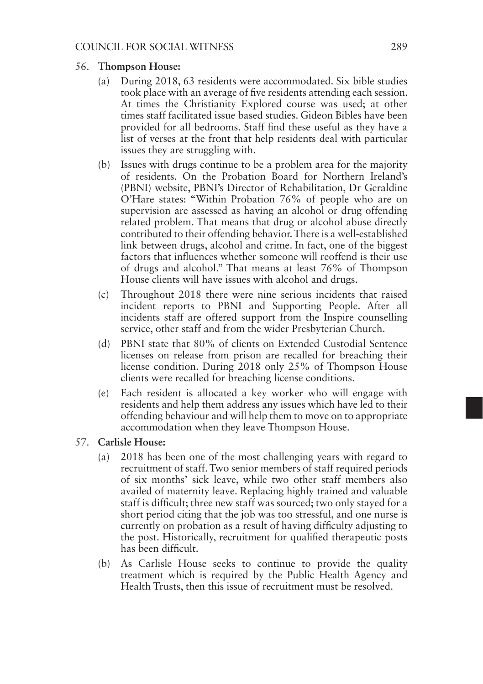- 56. **Thompson House:** 
	- (a) During 2018, 63 residents were accommodated. Six bible studies took place with an average of five residents attending each session. At times the Christianity Explored course was used; at other times staff facilitated issue based studies. Gideon Bibles have been provided for all bedrooms. Staff find these useful as they have a list of verses at the front that help residents deal with particular issues they are struggling with.
	- (b) Issues with drugs continue to be a problem area for the majority of residents. On the Probation Board for Northern Ireland's (PBNI) website, PBNI's Director of Rehabilitation, Dr Geraldine O'Hare states: "Within Probation 76% of people who are on supervision are assessed as having an alcohol or drug offending related problem. That means that drug or alcohol abuse directly contributed to their offending behavior. There is a well-established link between drugs, alcohol and crime. In fact, one of the biggest factors that influences whether someone will reoffend is their use of drugs and alcohol." That means at least 76% of Thompson House clients will have issues with alcohol and drugs.
	- (c) Throughout 2018 there were nine serious incidents that raised incident reports to PBNI and Supporting People. After all incidents staff are offered support from the Inspire counselling service, other staff and from the wider Presbyterian Church.
	- (d) PBNI state that 80% of clients on Extended Custodial Sentence licenses on release from prison are recalled for breaching their license condition. During 2018 only 25% of Thompson House clients were recalled for breaching license conditions.
	- (e) Each resident is allocated a key worker who will engage with residents and help them address any issues which have led to their offending behaviour and will help them to move on to appropriate accommodation when they leave Thompson House.
- 57. **Carlisle House:** 
	- (a) 2018 has been one of the most challenging years with regard to recruitment of staff. Two senior members of staff required periods of six months' sick leave, while two other staff members also availed of maternity leave. Replacing highly trained and valuable staff is difficult; three new staff was sourced; two only stayed for a short period citing that the job was too stressful, and one nurse is currently on probation as a result of having difficulty adjusting to the post. Historically, recruitment for qualified therapeutic posts has been difficult.
	- (b) As Carlisle House seeks to continue to provide the quality treatment which is required by the Public Health Agency and Health Trusts, then this issue of recruitment must be resolved.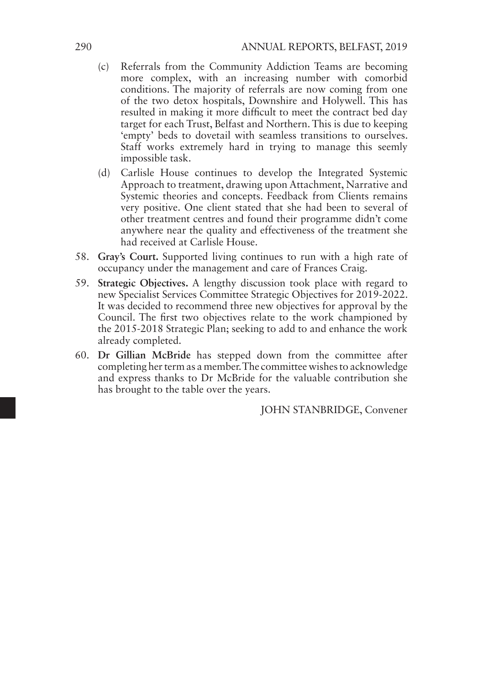- (c) Referrals from the Community Addiction Teams are becoming more complex, with an increasing number with comorbid conditions. The majority of referrals are now coming from one of the two detox hospitals, Downshire and Holywell. This has resulted in making it more difficult to meet the contract bed day target for each Trust, Belfast and Northern. This is due to keeping 'empty' beds to dovetail with seamless transitions to ourselves. Staff works extremely hard in trying to manage this seemly impossible task.
- (d) Carlisle House continues to develop the Integrated Systemic Approach to treatment, drawing upon Attachment, Narrative and Systemic theories and concepts. Feedback from Clients remains very positive. One client stated that she had been to several of other treatment centres and found their programme didn't come anywhere near the quality and effectiveness of the treatment she had received at Carlisle House.
- 58. **Gray's Court.** Supported living continues to run with a high rate of occupancy under the management and care of Frances Craig.
- 59. **Strategic Objectives.** A lengthy discussion took place with regard to new Specialist Services Committee Strategic Objectives for 2019-2022. It was decided to recommend three new objectives for approval by the Council. The first two objectives relate to the work championed by the 2015-2018 Strategic Plan; seeking to add to and enhance the work already completed.
- 60. **Dr Gillian McBride** has stepped down from the committee after completing her term as a member. The committee wishes to acknowledge and express thanks to Dr McBride for the valuable contribution she has brought to the table over the years.

JOHN STANBRIDGE, Convener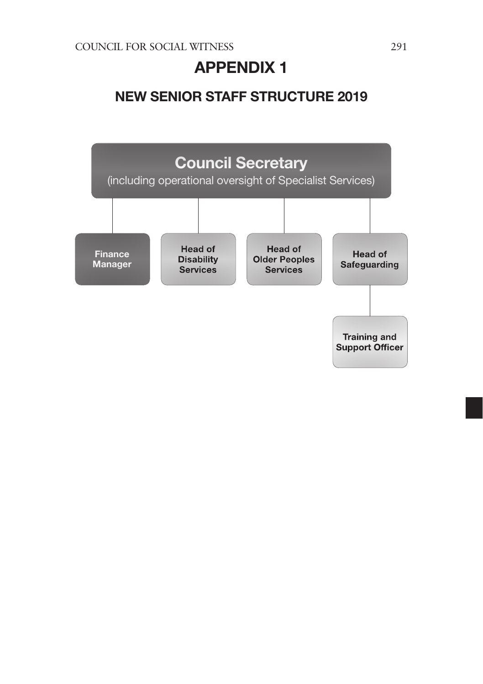# APPENDIX 1

# NEW SENIOR STAFF STRUCTURE 2019

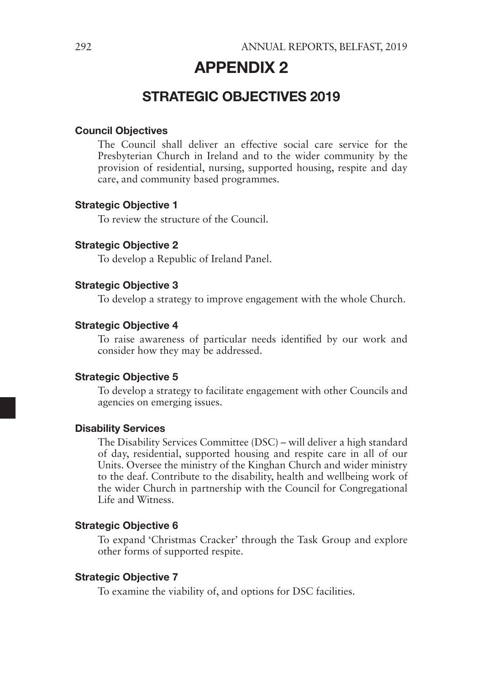## APPENDIX 2

## STRATEGIC OBJECTIVES 2019

#### Council Objectives

The Council shall deliver an effective social care service for the Presbyterian Church in Ireland and to the wider community by the provision of residential, nursing, supported housing, respite and day care, and community based programmes.

#### Strategic Objective 1

To review the structure of the Council.

#### Strategic Objective 2

To develop a Republic of Ireland Panel.

#### Strategic Objective 3

To develop a strategy to improve engagement with the whole Church.

#### Strategic Objective 4

To raise awareness of particular needs identified by our work and consider how they may be addressed.

#### Strategic Objective 5

To develop a strategy to facilitate engagement with other Councils and agencies on emerging issues.

#### Disability Services

The Disability Services Committee (DSC) – will deliver a high standard of day, residential, supported housing and respite care in all of our Units. Oversee the ministry of the Kinghan Church and wider ministry to the deaf. Contribute to the disability, health and wellbeing work of the wider Church in partnership with the Council for Congregational Life and Witness.

#### Strategic Objective 6

To expand 'Christmas Cracker' through the Task Group and explore other forms of supported respite.

#### Strategic Objective 7

To examine the viability of, and options for DSC facilities.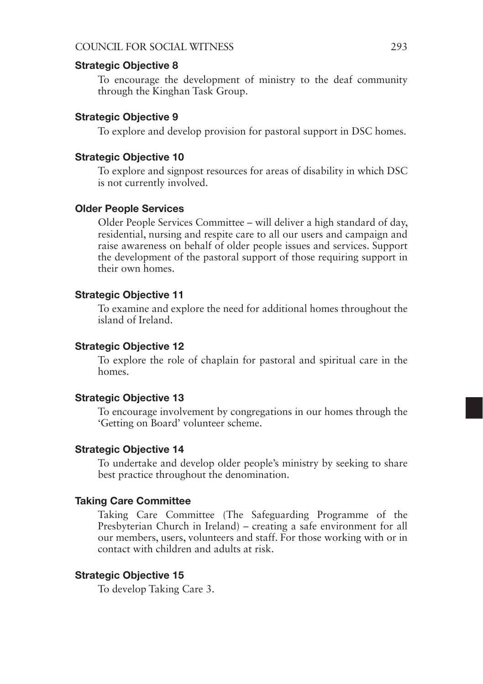#### Strategic Objective 8

To encourage the development of ministry to the deaf community through the Kinghan Task Group.

#### Strategic Objective 9

To explore and develop provision for pastoral support in DSC homes.

#### Strategic Objective 10

To explore and signpost resources for areas of disability in which DSC is not currently involved.

#### Older People Services

Older People Services Committee – will deliver a high standard of day, residential, nursing and respite care to all our users and campaign and raise awareness on behalf of older people issues and services. Support the development of the pastoral support of those requiring support in their own homes.

#### Strategic Objective 11

To examine and explore the need for additional homes throughout the island of Ireland.

#### Strategic Objective 12

To explore the role of chaplain for pastoral and spiritual care in the homes.

#### Strategic Objective 13

To encourage involvement by congregations in our homes through the 'Getting on Board' volunteer scheme.

#### Strategic Objective 14

To undertake and develop older people's ministry by seeking to share best practice throughout the denomination.

#### Taking Care Committee

Taking Care Committee (The Safeguarding Programme of the Presbyterian Church in Ireland) – creating a safe environment for all our members, users, volunteers and staff. For those working with or in contact with children and adults at risk.

#### Strategic Objective 15

To develop Taking Care 3.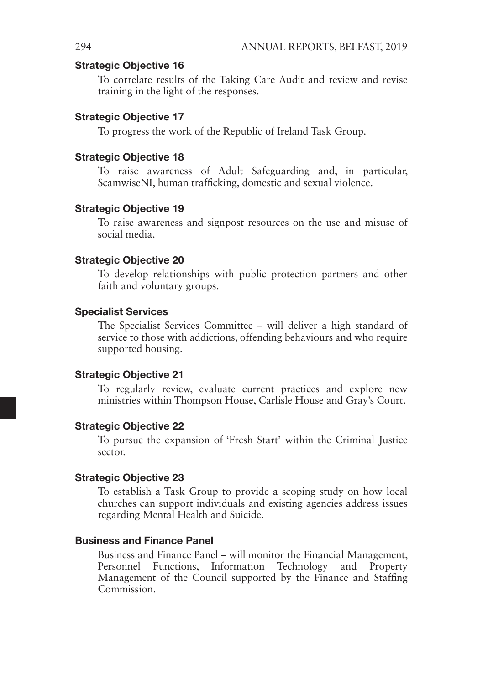#### Strategic Objective 16

To correlate results of the Taking Care Audit and review and revise training in the light of the responses.

#### Strategic Objective 17

To progress the work of the Republic of Ireland Task Group.

#### Strategic Objective 18

To raise awareness of Adult Safeguarding and, in particular, ScamwiseNI, human trafficking, domestic and sexual violence.

#### Strategic Objective 19

To raise awareness and signpost resources on the use and misuse of social media.

#### Strategic Objective 20

To develop relationships with public protection partners and other faith and voluntary groups.

#### Specialist Services

The Specialist Services Committee – will deliver a high standard of service to those with addictions, offending behaviours and who require supported housing.

#### Strategic Objective 21

To regularly review, evaluate current practices and explore new ministries within Thompson House, Carlisle House and Gray's Court.

#### Strategic Objective 22

To pursue the expansion of 'Fresh Start' within the Criminal Justice sector.

#### Strategic Objective 23

To establish a Task Group to provide a scoping study on how local churches can support individuals and existing agencies address issues regarding Mental Health and Suicide.

#### Business and Finance Panel

Business and Finance Panel – will monitor the Financial Management, Personnel Functions, Information Technology and Property Management of the Council supported by the Finance and Staffing Commission.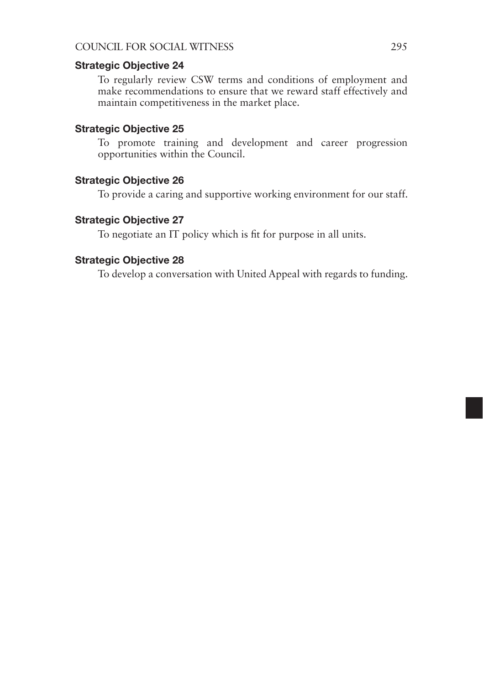#### Strategic Objective 24

To regularly review CSW terms and conditions of employment and make recommendations to ensure that we reward staff effectively and maintain competitiveness in the market place.

#### Strategic Objective 25

To promote training and development and career progression opportunities within the Council.

#### Strategic Objective 26

To provide a caring and supportive working environment for our staff.

#### Strategic Objective 27

To negotiate an IT policy which is fit for purpose in all units.

#### Strategic Objective 28

To develop a conversation with United Appeal with regards to funding.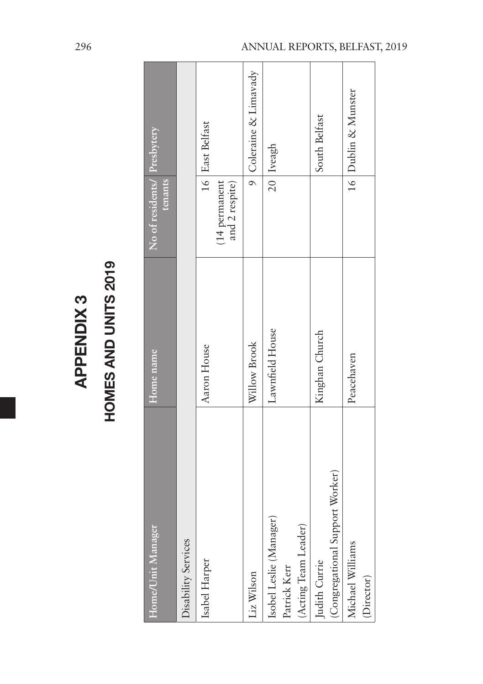# APPENDIX 3<br>HOMES AND UNITS 2019

| Home/Unit Manager               | Home name       | No of residents/ Presbytery<br>tenants |                        |
|---------------------------------|-----------------|----------------------------------------|------------------------|
| Disability Services             |                 |                                        |                        |
| Isabel Harper                   | Aaron House     |                                        | 16 East Belfast        |
|                                 |                 | $(14$ permanent<br>and 2 respite)      |                        |
| Liz Wilson                      | Willow Brook    |                                        | 9 Coleraine & Limavady |
| Isobel Leslie (Manager)         | Lawnfield House |                                        | 20 Iveagh              |
| Patrick Kerr                    |                 |                                        |                        |
| (Acting Team Leader)            |                 |                                        |                        |
| Judith Currie                   | Kinghan Church  |                                        | South Belfast          |
| (Congregational Support Worker) |                 |                                        |                        |
| Michael Williams                | Peacehaven      |                                        | 16   Dublin & Munster  |
| (Director)                      |                 |                                        |                        |
|                                 |                 |                                        |                        |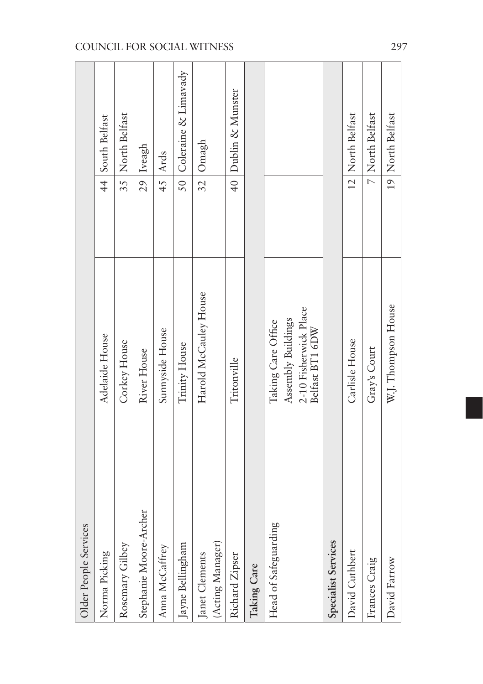| Older People Services  |                                                                                      |    |                         |
|------------------------|--------------------------------------------------------------------------------------|----|-------------------------|
| Norma Picking          | Adelaide House                                                                       |    | 44 South Belfast        |
| Rosemary Gilbey        | Corkey House                                                                         |    | 35   North Belfast      |
| Stephanie Moore-Archer | River House                                                                          | 29 | Iveagh                  |
| Anna McCaffrey         | Sunnyside House                                                                      | 45 | Ards                    |
| Jayne Bellingham       | Trinity House                                                                        |    | 50 Coleraine & Limavady |
| Janet Clements         | Harold McCauley House                                                                |    | 32 Omagh                |
| (Acting Manager)       |                                                                                      |    |                         |
| Richard Zipser         | Tritonville                                                                          |    | 40 Dublin & Munster     |
| Taking Care            |                                                                                      |    |                         |
| Head of Safeguarding   | 2-10 Fisherwick Place<br>Assembly Buildings<br>Taking Care Office<br>Belfast BT1 6DW |    |                         |
| Specialist Services    |                                                                                      |    |                         |
| David Cuthbert         | Carlisle House                                                                       |    | 12 North Belfast        |
| Frances Craig          | Gray's Court                                                                         |    | 7 North Belfast         |
| David Farrow           | W.J. Thompson House                                                                  |    | 19 North Belfast        |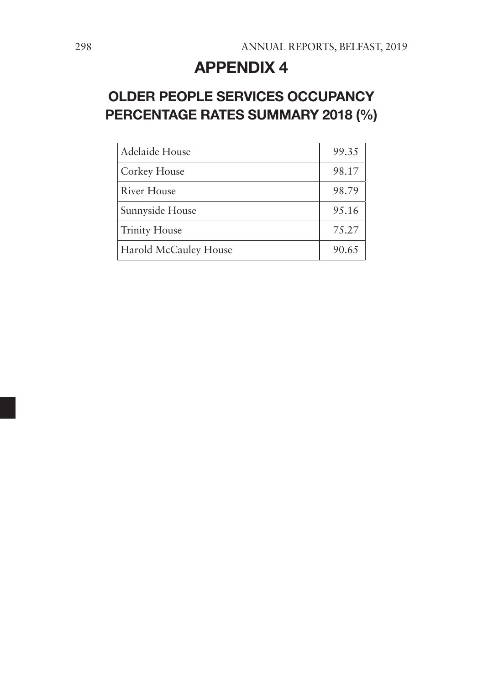# APPENDIX 4

# OLDER PEOPLE SERVICES OCCUPANCY PERCENTAGE RATES SUMMARY 2018 (%)

| Adelaide House        | 99.35 |
|-----------------------|-------|
| Corkey House          | 98.17 |
| River House           | 98.79 |
| Sunnyside House       | 95.16 |
| <b>Trinity House</b>  | 75.27 |
| Harold McCauley House | 90.65 |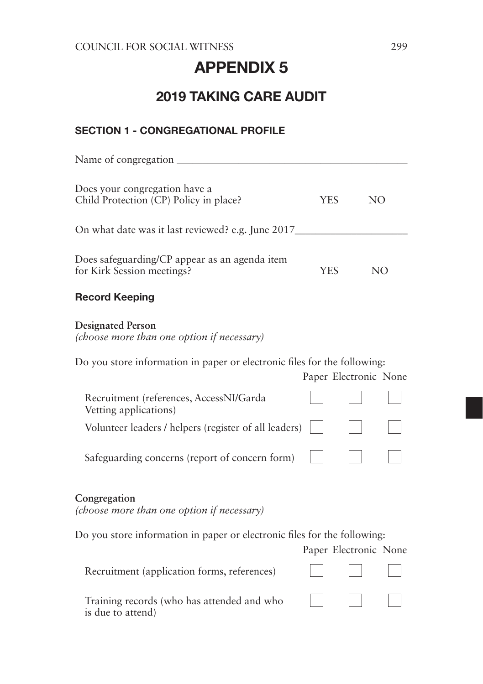# APPENDIX 5

# 2019 TAKING CARE AUDIT

## SECTION 1 - CONGREGATIONAL PROFILE

| Name of congregation _                                                      |                       |     |     |
|-----------------------------------------------------------------------------|-----------------------|-----|-----|
| Does your congregation have a<br>Child Protection (CP) Policy in place?     | YES.                  | NO. |     |
| On what date was it last reviewed? e.g. June 2017_                          |                       |     |     |
| Does safeguarding/CP appear as an agenda item<br>for Kirk Session meetings? | YFS.                  |     | NO. |
| <b>Record Keeping</b>                                                       |                       |     |     |
| <b>Designated Person</b><br>(choose more than one option if necessary)      |                       |     |     |
| Do you store information in paper or electronic files for the following:    | Paper Electronic None |     |     |
| Recruitment (references, AccessNI/Garda<br>Vetting applications)            |                       |     |     |
| Volunteer leaders / helpers (register of all leaders)                       |                       |     |     |
| Safeguarding concerns (report of concern form)                              |                       |     |     |
| Congregation<br>(choose more than one option if necessary)                  |                       |     |     |
| Do you store information in paper or electronic files for the following:    |                       |     |     |
|                                                                             | Paper Electronic None |     |     |
| Recruitment (application forms, references)                                 |                       |     |     |
| Training records (who has attended and who<br>is due to attend)             |                       |     |     |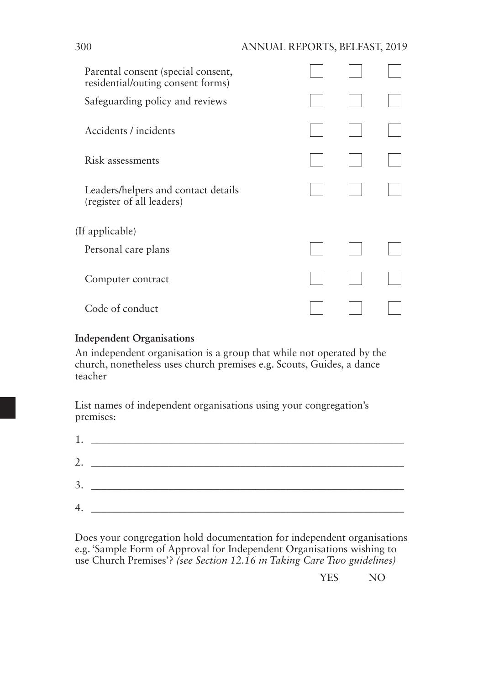## 300 ANNUAL REPORTS, BELFAST, 2019

| Parental consent (special consent,<br>residential/outing consent forms) |  |  |
|-------------------------------------------------------------------------|--|--|
| Safeguarding policy and reviews                                         |  |  |
| Accidents / incidents                                                   |  |  |
| Risk assessments                                                        |  |  |
| Leaders/helpers and contact details<br>(register of all leaders)        |  |  |
| (If applicable)                                                         |  |  |
| Personal care plans                                                     |  |  |
| Computer contract                                                       |  |  |
| Code of conduct                                                         |  |  |

#### **Independent Organisations**

An independent organisation is a group that while not operated by the church, nonetheless uses church premises e.g. Scouts, Guides, a dance teacher

List names of independent organisations using your congregation's premises:

| 1. |  |
|----|--|
| 2. |  |
| 3. |  |
| 4  |  |

Does your congregation hold documentation for independent organisations e.g. 'Sample Form of Approval for Independent Organisations wishing to use Church Premises'? *(see Section 12.16 in Taking Care Two guidelines)*

YES NO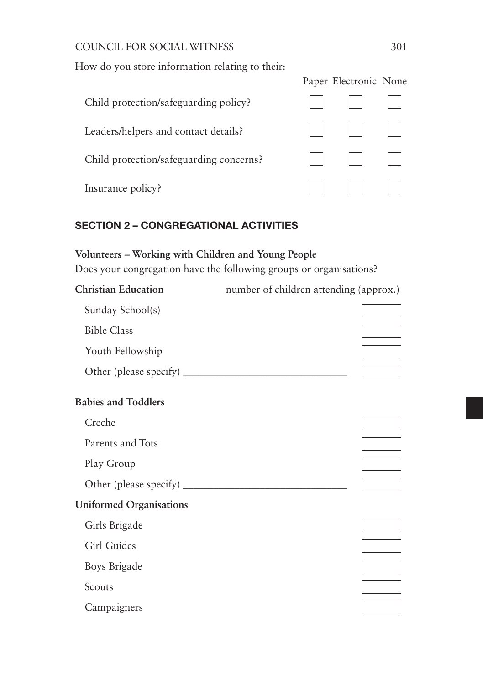How do you store information relating to their:

|                                         | Paper Electronic None |  |
|-----------------------------------------|-----------------------|--|
| Child protection/safeguarding policy?   |                       |  |
| Leaders/helpers and contact details?    | 1 1 1 1 1 1 1         |  |
| Child protection/safeguarding concerns? | 1111111               |  |
| Insurance policy?                       | .                     |  |

## SECTION 2 – CONGREGATIONAL ACTIVITIES

# **Volunteers – Working with Children and Young People**

Does your congregation have the following groups or organisations?

| <b>Christian Education</b>     | number of children attending (approx.) |
|--------------------------------|----------------------------------------|
| Sunday School(s)               |                                        |
| <b>Bible Class</b>             |                                        |
| Youth Fellowship               |                                        |
|                                |                                        |
| <b>Babies and Toddlers</b>     |                                        |
| Creche                         |                                        |
| Parents and Tots               |                                        |
| Play Group                     |                                        |
|                                |                                        |
| <b>Uniformed Organisations</b> |                                        |
| Girls Brigade                  |                                        |
| Girl Guides                    |                                        |
| Boys Brigade                   |                                        |
| Scouts                         |                                        |
| Campaigners                    |                                        |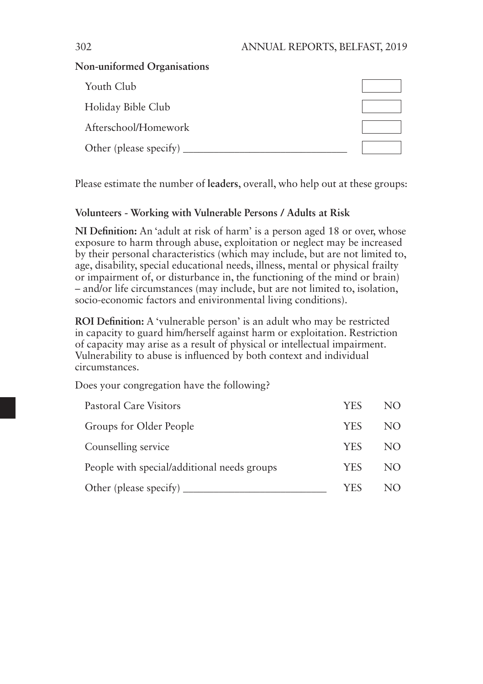#### 302 ANNUAL REPORTS, BELFAST, 2019

#### **Non-uniformed Organisations**

| Youth Club             |  |
|------------------------|--|
| Holiday Bible Club     |  |
| Afterschool/Homework   |  |
| Other (please specify) |  |

Please estimate the number of **leaders**, overall, who help out at these groups:

#### **Volunteers - Working with Vulnerable Persons / Adults at Risk**

**NI Definition:** An 'adult at risk of harm' is a person aged 18 or over, whose exposure to harm through abuse, exploitation or neglect may be increased by their personal characteristics (which may include, but are not limited to, age, disability, special educational needs, illness, mental or physical frailty or impairment of, or disturbance in, the functioning of the mind or brain) – and/or life circumstances (may include, but are not limited to, isolation, socio-economic factors and enivironmental living conditions).

**ROI Definition:** A 'vulnerable person' is an adult who may be restricted in capacity to guard him/herself against harm or exploitation. Restriction of capacity may arise as a result of physical or intellectual impairment. Vulnerability to abuse is influenced by both context and individual circumstances.

Does your congregation have the following?

| Pastoral Care Visitors                      | YFS.       | NO. |
|---------------------------------------------|------------|-----|
| Groups for Older People                     | <b>YES</b> | NO. |
| Counselling service                         | <b>YES</b> | NO. |
| People with special/additional needs groups | <b>YES</b> | NO. |
| Other (please specify)                      | YES        | NO. |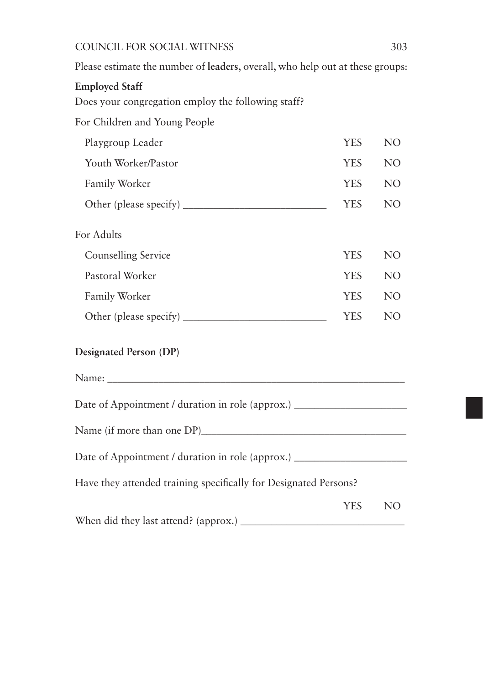Please estimate the number of **leaders**, overall, who help out at these groups:

## **Employed Staff**

Does your congregation employ the following staff?

For Children and Young People

| Playgroup Leader    | <b>YES</b> | NO <sub>1</sub> |
|---------------------|------------|-----------------|
| Youth Worker/Pastor | <b>YES</b> | NO <sub>1</sub> |
| Family Worker       | <b>YES</b> | NO <sub>1</sub> |
|                     | <b>YES</b> | NO.             |
| For Adults          |            |                 |
| Counselling Service | <b>YES</b> | NO <sub>1</sub> |
| Pastoral Worker     | <b>YES</b> | NO <sub>1</sub> |
| Family Worker       | <b>YES</b> | NO <sub>1</sub> |
|                     | <b>YES</b> | NO <sub>1</sub> |
|                     |            |                 |

## **Designated Person (DP)**

| Date of Appointment / duration in role (approx.)                 |            |     |
|------------------------------------------------------------------|------------|-----|
| Name (if more than one DP)                                       |            |     |
|                                                                  |            |     |
| Have they attended training specifically for Designated Persons? |            |     |
|                                                                  | <b>YES</b> | NO. |
|                                                                  |            |     |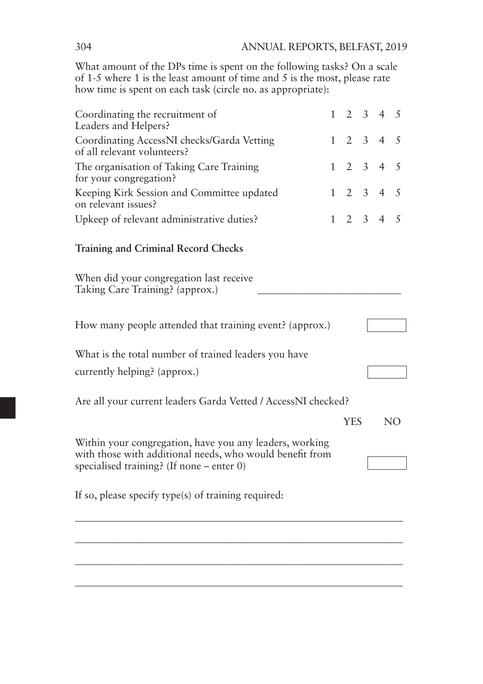What amount of the DPs time is spent on the following tasks? On a scale of 1-5 where 1 is the least amount of time and 5 is the most, please rate how time is spent on each task (circle no. as appropriate):

| Coordinating the recruitment of<br>Leaders and Helpers?                                                             | 1            | $\overline{2}$ | $\mathbf{3}$   | $\overline{4}$      | - 5 |
|---------------------------------------------------------------------------------------------------------------------|--------------|----------------|----------------|---------------------|-----|
| Coordinating AccessNI checks/Garda Vetting<br>of all relevant volunteers?                                           | $\mathbf{1}$ | 2              | 3 <sup>7</sup> | $\overline{4}$      | 5   |
| The organisation of Taking Care Training<br>for your congregation?                                                  | $\mathbf{1}$ |                |                | $2 \quad 3 \quad 4$ | 5   |
| Keeping Kirk Session and Committee updated<br>on relevant issues?                                                   | $\mathbf{1}$ |                |                | $2 \quad 3 \quad 4$ | 5   |
| Upkeep of relevant administrative duties?                                                                           | 1            |                |                | $2 \t3 \t4 \t5$     |     |
| <b>Training and Criminal Record Checks</b>                                                                          |              |                |                |                     |     |
| When did your congregation last receive<br>Taking Care Training? (approx.)                                          |              |                |                |                     |     |
| How many people attended that training event? (approx.)                                                             |              |                |                |                     |     |
| What is the total number of trained leaders you have                                                                |              |                |                |                     |     |
| currently helping? (approx.)                                                                                        |              |                |                |                     |     |
| Are all your current leaders Garda Vetted / AccessNI checked?                                                       |              |                |                |                     |     |
|                                                                                                                     |              | <b>YES</b>     |                |                     | NO. |
| Within your congregation, have you any leaders, working<br>with those with additional needs, who would benefit from |              |                |                |                     |     |
| specialised training? (If none – enter 0)                                                                           |              |                |                |                     |     |
| If so, please specify type(s) of training required:                                                                 |              |                |                |                     |     |
|                                                                                                                     |              |                |                |                     |     |
|                                                                                                                     |              |                |                |                     |     |
|                                                                                                                     |              |                |                |                     |     |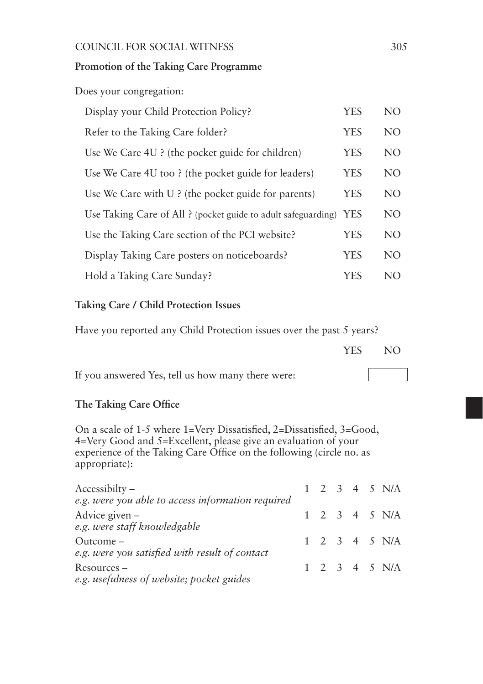## **Promotion of the Taking Care Programme**

Does your congregation:

| Display your Child Protection Policy?                         | <b>YES</b> | NO. |
|---------------------------------------------------------------|------------|-----|
| Refer to the Taking Care folder?                              | <b>YES</b> | NO. |
| Use We Care 4U ? (the pocket guide for children)              | <b>YES</b> | NO. |
| Use We Care 4U too ? (the pocket guide for leaders)           | <b>YES</b> | NO. |
| Use We Care with $U$ ? (the pocket guide for parents)         | <b>YES</b> | NO. |
| Use Taking Care of All ? (pocket guide to adult safeguarding) | <b>YES</b> | NO. |
| Use the Taking Care section of the PCI website?               | <b>YES</b> | NO. |
| Display Taking Care posters on noticeboards?                  | <b>YES</b> | NO. |
| Hold a Taking Care Sunday?                                    | YES.       | NO. |

## **Taking Care / Child Protection Issues**

Have you reported any Child Protection issues over the past 5 years?

|                                                   | YES. | NO. |
|---------------------------------------------------|------|-----|
| If you answered Yes, tell us how many there were: |      |     |

## **The Taking Care Office**

On a scale of 1-5 where 1=Very Dissatisfied, 2=Dissatisfied, 3=Good, 4=Very Good and 5=Excellent, please give an evaluation of your experience of the Taking Care Office on the following (circle no. as appropriate):

| $Accessibility -$                                 |  |  | $1 \t2 \t3 \t4 \t5 \t N/A$ |
|---------------------------------------------------|--|--|----------------------------|
| e.g. were you able to access information required |  |  |                            |
| Advice given $-$                                  |  |  | 1 2 3 4 5 N/A              |
| e.g. were staff knowledgable                      |  |  |                            |
| $Outcome-$                                        |  |  | $1 \t2 \t3 \t4 \t5 \t N/A$ |
| e.g. were you satisfied with result of contact    |  |  |                            |
| Resources –                                       |  |  | $1 \t2 \t3 \t4 \t5 \t N/A$ |
| e.g. usefulness of website; pocket guides         |  |  |                            |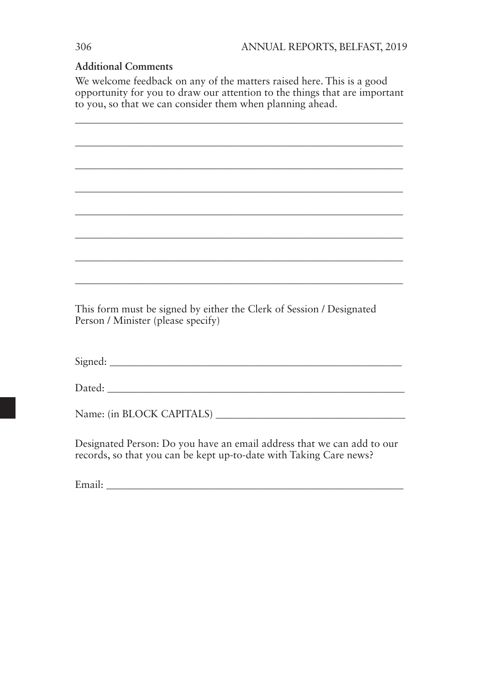## **Additional Comments**

We welcome feedback on any of the matters raised here. This is a good opportunity for you to draw our attention to the things that are important to you, so that we can consider them when planning ahead.

\_\_\_\_\_\_\_\_\_\_\_\_\_\_\_\_\_\_\_\_\_\_\_\_\_\_\_\_\_\_\_\_\_\_\_\_\_\_\_\_\_\_\_\_\_\_\_\_\_\_\_\_\_\_\_\_\_\_\_\_\_\_\_\_

\_\_\_\_\_\_\_\_\_\_\_\_\_\_\_\_\_\_\_\_\_\_\_\_\_\_\_\_\_\_\_\_\_\_\_\_\_\_\_\_\_\_\_\_\_\_\_\_\_\_\_\_\_\_\_\_\_\_\_\_\_\_\_\_

\_\_\_\_\_\_\_\_\_\_\_\_\_\_\_\_\_\_\_\_\_\_\_\_\_\_\_\_\_\_\_\_\_\_\_\_\_\_\_\_\_\_\_\_\_\_\_\_\_\_\_\_\_\_\_\_\_\_\_\_\_\_\_\_

\_\_\_\_\_\_\_\_\_\_\_\_\_\_\_\_\_\_\_\_\_\_\_\_\_\_\_\_\_\_\_\_\_\_\_\_\_\_\_\_\_\_\_\_\_\_\_\_\_\_\_\_\_\_\_\_\_\_\_\_\_\_\_\_

\_\_\_\_\_\_\_\_\_\_\_\_\_\_\_\_\_\_\_\_\_\_\_\_\_\_\_\_\_\_\_\_\_\_\_\_\_\_\_\_\_\_\_\_\_\_\_\_\_\_\_\_\_\_\_\_\_\_\_\_\_\_\_\_

\_\_\_\_\_\_\_\_\_\_\_\_\_\_\_\_\_\_\_\_\_\_\_\_\_\_\_\_\_\_\_\_\_\_\_\_\_\_\_\_\_\_\_\_\_\_\_\_\_\_\_\_\_\_\_\_\_\_\_\_\_\_\_\_

\_\_\_\_\_\_\_\_\_\_\_\_\_\_\_\_\_\_\_\_\_\_\_\_\_\_\_\_\_\_\_\_\_\_\_\_\_\_\_\_\_\_\_\_\_\_\_\_\_\_\_\_\_\_\_\_\_\_\_\_\_\_\_\_

\_\_\_\_\_\_\_\_\_\_\_\_\_\_\_\_\_\_\_\_\_\_\_\_\_\_\_\_\_\_\_\_\_\_\_\_\_\_\_\_\_\_\_\_\_\_\_\_\_\_\_\_\_\_\_\_\_\_\_\_\_\_\_\_

This form must be signed by either the Clerk of Session / Designated Person / Minister (please specify)

Signed: \_\_\_\_\_\_\_\_\_\_\_\_\_\_\_\_\_\_\_\_\_\_\_\_\_\_\_\_\_\_\_\_\_\_\_\_\_\_\_\_\_\_\_\_\_\_\_\_\_\_\_\_\_\_\_\_\_

Dated:

Name: (in BLOCK CAPITALS)

Designated Person: Do you have an email address that we can add to our records, so that you can be kept up-to-date with Taking Care news?

Email: \_\_\_\_\_\_\_\_\_\_\_\_\_\_\_\_\_\_\_\_\_\_\_\_\_\_\_\_\_\_\_\_\_\_\_\_\_\_\_\_\_\_\_\_\_\_\_\_\_\_\_\_\_\_\_\_\_\_